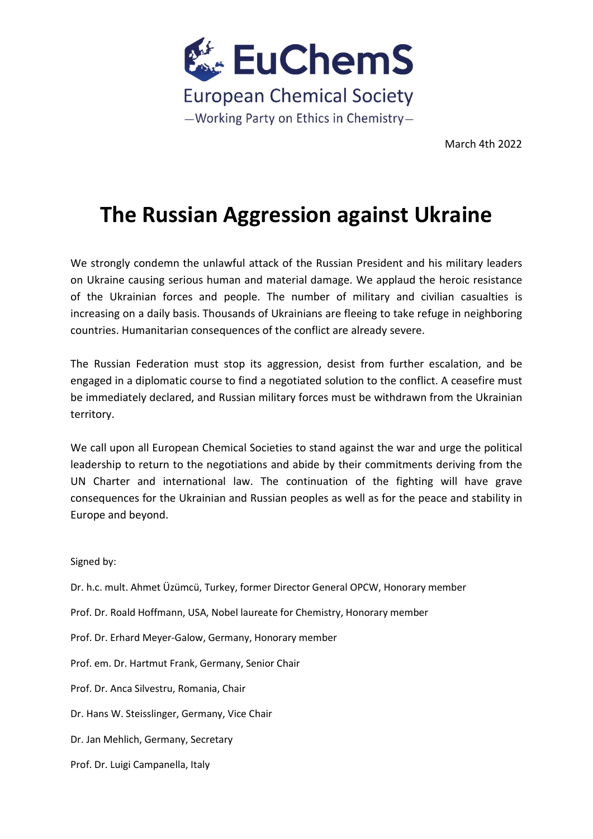

March 4th 2022

## The Russian Aggression against Ukraine

We strongly condemn the unlawful attack of the Russian President and his military leaders on Ukraine causing serious human and material damage. We applaud the heroic resistance of the Ukrainian forces and people. The number of military and civilian casualties is increasing on a daily basis. Thousands of Ukrainians are fleeing to take refuge in neighboring countries. Humanitarian consequences of the conflict are already severe.

The Russian Federation must stop its aggression, desist from further escalation, and be engaged in a diplomatic course to find a negotiated solution to the conflict. A ceasefire must be immediately declared, and Russian military forces must be withdrawn from the Ukrainian territory.

We call upon all European Chemical Societies to stand against the war and urge the political leadership to return to the negotiations and abide by their commitments deriving from the UN Charter and international law. The continuation of the fighting will have grave consequences for the Ukrainian and Russian peoples as well as for the peace and stability in Europe and beyond.

Signed by:

Dr. h.c. mult. Ahmet Üzümcü, Turkey, former Director General OPCW, Honorary member Prof. Dr. Roald Hoffmann, USA, Nobel laureate for Chemistry, Honorary member Prof. Dr. Erhard Meyer-Galow, Germany, Honorary member Prof. em. Dr. Hartmut Frank, Germany, Senior Chair Prof. Dr. Anca Silvestru, Romania, Chair Dr. Hans W. Steisslinger, Germany, Vice Chair Dr. Jan Mehlich, Germany, Secretary Prof. Dr. Luigi Campanella, Italy